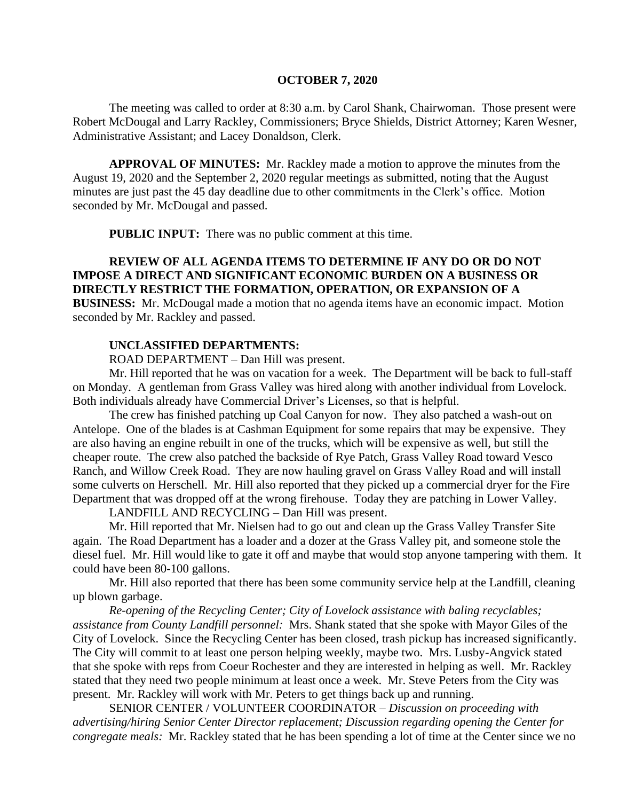#### **OCTOBER 7, 2020**

The meeting was called to order at 8:30 a.m. by Carol Shank, Chairwoman. Those present were Robert McDougal and Larry Rackley, Commissioners; Bryce Shields, District Attorney; Karen Wesner, Administrative Assistant; and Lacey Donaldson, Clerk.

**APPROVAL OF MINUTES:** Mr. Rackley made a motion to approve the minutes from the August 19, 2020 and the September 2, 2020 regular meetings as submitted, noting that the August minutes are just past the 45 day deadline due to other commitments in the Clerk's office. Motion seconded by Mr. McDougal and passed.

**PUBLIC INPUT:** There was no public comment at this time.

## **REVIEW OF ALL AGENDA ITEMS TO DETERMINE IF ANY DO OR DO NOT IMPOSE A DIRECT AND SIGNIFICANT ECONOMIC BURDEN ON A BUSINESS OR DIRECTLY RESTRICT THE FORMATION, OPERATION, OR EXPANSION OF A BUSINESS:** Mr. McDougal made a motion that no agenda items have an economic impact. Motion seconded by Mr. Rackley and passed.

### **UNCLASSIFIED DEPARTMENTS:**

ROAD DEPARTMENT – Dan Hill was present.

Mr. Hill reported that he was on vacation for a week. The Department will be back to full-staff on Monday. A gentleman from Grass Valley was hired along with another individual from Lovelock. Both individuals already have Commercial Driver's Licenses, so that is helpful.

The crew has finished patching up Coal Canyon for now. They also patched a wash-out on Antelope. One of the blades is at Cashman Equipment for some repairs that may be expensive. They are also having an engine rebuilt in one of the trucks, which will be expensive as well, but still the cheaper route. The crew also patched the backside of Rye Patch, Grass Valley Road toward Vesco Ranch, and Willow Creek Road. They are now hauling gravel on Grass Valley Road and will install some culverts on Herschell. Mr. Hill also reported that they picked up a commercial dryer for the Fire Department that was dropped off at the wrong firehouse. Today they are patching in Lower Valley.

LANDFILL AND RECYCLING – Dan Hill was present.

Mr. Hill reported that Mr. Nielsen had to go out and clean up the Grass Valley Transfer Site again. The Road Department has a loader and a dozer at the Grass Valley pit, and someone stole the diesel fuel. Mr. Hill would like to gate it off and maybe that would stop anyone tampering with them. It could have been 80-100 gallons.

Mr. Hill also reported that there has been some community service help at the Landfill, cleaning up blown garbage.

*Re-opening of the Recycling Center; City of Lovelock assistance with baling recyclables; assistance from County Landfill personnel:* Mrs. Shank stated that she spoke with Mayor Giles of the City of Lovelock. Since the Recycling Center has been closed, trash pickup has increased significantly. The City will commit to at least one person helping weekly, maybe two. Mrs. Lusby-Angvick stated that she spoke with reps from Coeur Rochester and they are interested in helping as well. Mr. Rackley stated that they need two people minimum at least once a week. Mr. Steve Peters from the City was present. Mr. Rackley will work with Mr. Peters to get things back up and running.

SENIOR CENTER / VOLUNTEER COORDINATOR – *Discussion on proceeding with advertising/hiring Senior Center Director replacement; Discussion regarding opening the Center for congregate meals:* Mr. Rackley stated that he has been spending a lot of time at the Center since we no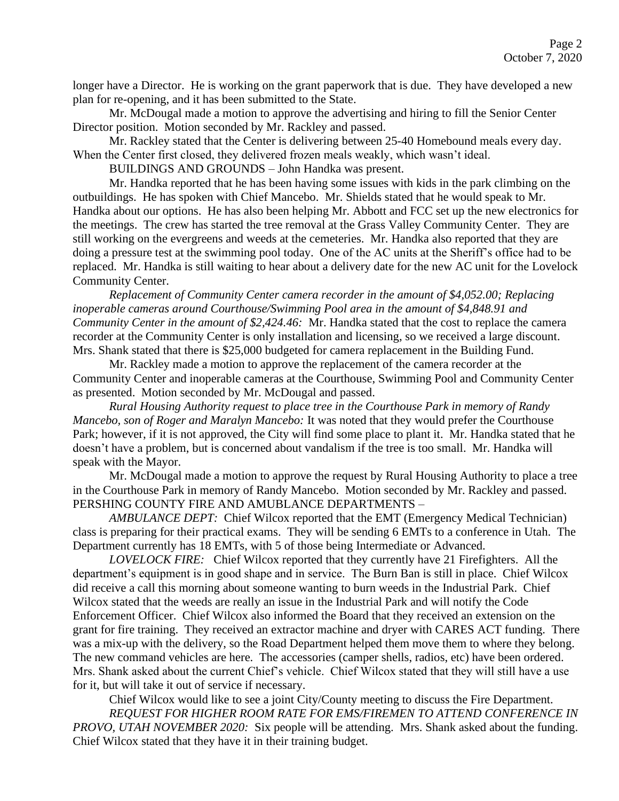longer have a Director. He is working on the grant paperwork that is due. They have developed a new plan for re-opening, and it has been submitted to the State.

Mr. McDougal made a motion to approve the advertising and hiring to fill the Senior Center Director position. Motion seconded by Mr. Rackley and passed.

Mr. Rackley stated that the Center is delivering between 25-40 Homebound meals every day. When the Center first closed, they delivered frozen meals weakly, which wasn't ideal.

BUILDINGS AND GROUNDS – John Handka was present.

Mr. Handka reported that he has been having some issues with kids in the park climbing on the outbuildings. He has spoken with Chief Mancebo. Mr. Shields stated that he would speak to Mr. Handka about our options. He has also been helping Mr. Abbott and FCC set up the new electronics for the meetings. The crew has started the tree removal at the Grass Valley Community Center. They are still working on the evergreens and weeds at the cemeteries. Mr. Handka also reported that they are doing a pressure test at the swimming pool today. One of the AC units at the Sheriff's office had to be replaced. Mr. Handka is still waiting to hear about a delivery date for the new AC unit for the Lovelock Community Center.

*Replacement of Community Center camera recorder in the amount of \$4,052.00; Replacing inoperable cameras around Courthouse/Swimming Pool area in the amount of \$4,848.91 and Community Center in the amount of \$2,424.46:* Mr. Handka stated that the cost to replace the camera recorder at the Community Center is only installation and licensing, so we received a large discount. Mrs. Shank stated that there is \$25,000 budgeted for camera replacement in the Building Fund.

Mr. Rackley made a motion to approve the replacement of the camera recorder at the Community Center and inoperable cameras at the Courthouse, Swimming Pool and Community Center as presented. Motion seconded by Mr. McDougal and passed.

*Rural Housing Authority request to place tree in the Courthouse Park in memory of Randy Mancebo, son of Roger and Maralyn Mancebo:* It was noted that they would prefer the Courthouse Park; however, if it is not approved, the City will find some place to plant it. Mr. Handka stated that he doesn't have a problem, but is concerned about vandalism if the tree is too small. Mr. Handka will speak with the Mayor.

Mr. McDougal made a motion to approve the request by Rural Housing Authority to place a tree in the Courthouse Park in memory of Randy Mancebo. Motion seconded by Mr. Rackley and passed. PERSHING COUNTY FIRE AND AMUBLANCE DEPARTMENTS –

*AMBULANCE DEPT:* Chief Wilcox reported that the EMT (Emergency Medical Technician) class is preparing for their practical exams. They will be sending 6 EMTs to a conference in Utah. The Department currently has 18 EMTs, with 5 of those being Intermediate or Advanced.

*LOVELOCK FIRE:* Chief Wilcox reported that they currently have 21 Firefighters. All the department's equipment is in good shape and in service. The Burn Ban is still in place. Chief Wilcox did receive a call this morning about someone wanting to burn weeds in the Industrial Park. Chief Wilcox stated that the weeds are really an issue in the Industrial Park and will notify the Code Enforcement Officer. Chief Wilcox also informed the Board that they received an extension on the grant for fire training. They received an extractor machine and dryer with CARES ACT funding. There was a mix-up with the delivery, so the Road Department helped them move them to where they belong. The new command vehicles are here. The accessories (camper shells, radios, etc) have been ordered. Mrs. Shank asked about the current Chief's vehicle. Chief Wilcox stated that they will still have a use for it, but will take it out of service if necessary.

Chief Wilcox would like to see a joint City/County meeting to discuss the Fire Department. *REQUEST FOR HIGHER ROOM RATE FOR EMS/FIREMEN TO ATTEND CONFERENCE IN PROVO, UTAH NOVEMBER 2020:* Six people will be attending. Mrs. Shank asked about the funding. Chief Wilcox stated that they have it in their training budget.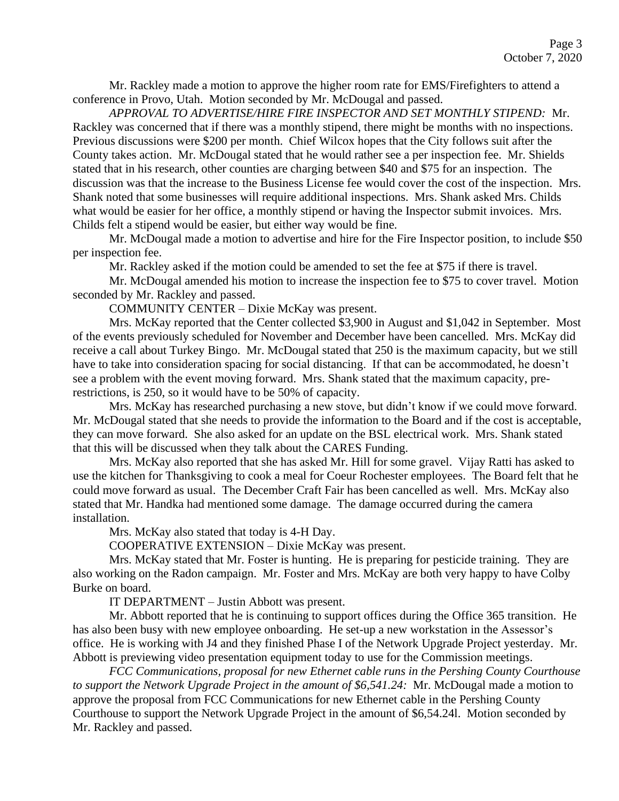Mr. Rackley made a motion to approve the higher room rate for EMS/Firefighters to attend a conference in Provo, Utah. Motion seconded by Mr. McDougal and passed.

*APPROVAL TO ADVERTISE/HIRE FIRE INSPECTOR AND SET MONTHLY STIPEND:* Mr. Rackley was concerned that if there was a monthly stipend, there might be months with no inspections. Previous discussions were \$200 per month. Chief Wilcox hopes that the City follows suit after the County takes action. Mr. McDougal stated that he would rather see a per inspection fee. Mr. Shields stated that in his research, other counties are charging between \$40 and \$75 for an inspection. The discussion was that the increase to the Business License fee would cover the cost of the inspection. Mrs. Shank noted that some businesses will require additional inspections. Mrs. Shank asked Mrs. Childs what would be easier for her office, a monthly stipend or having the Inspector submit invoices. Mrs. Childs felt a stipend would be easier, but either way would be fine.

Mr. McDougal made a motion to advertise and hire for the Fire Inspector position, to include \$50 per inspection fee.

Mr. Rackley asked if the motion could be amended to set the fee at \$75 if there is travel.

Mr. McDougal amended his motion to increase the inspection fee to \$75 to cover travel. Motion seconded by Mr. Rackley and passed.

COMMUNITY CENTER – Dixie McKay was present.

Mrs. McKay reported that the Center collected \$3,900 in August and \$1,042 in September. Most of the events previously scheduled for November and December have been cancelled. Mrs. McKay did receive a call about Turkey Bingo. Mr. McDougal stated that 250 is the maximum capacity, but we still have to take into consideration spacing for social distancing. If that can be accommodated, he doesn't see a problem with the event moving forward. Mrs. Shank stated that the maximum capacity, prerestrictions, is 250, so it would have to be 50% of capacity.

Mrs. McKay has researched purchasing a new stove, but didn't know if we could move forward. Mr. McDougal stated that she needs to provide the information to the Board and if the cost is acceptable, they can move forward. She also asked for an update on the BSL electrical work. Mrs. Shank stated that this will be discussed when they talk about the CARES Funding.

Mrs. McKay also reported that she has asked Mr. Hill for some gravel. Vijay Ratti has asked to use the kitchen for Thanksgiving to cook a meal for Coeur Rochester employees. The Board felt that he could move forward as usual. The December Craft Fair has been cancelled as well. Mrs. McKay also stated that Mr. Handka had mentioned some damage. The damage occurred during the camera installation.

Mrs. McKay also stated that today is 4-H Day.

COOPERATIVE EXTENSION – Dixie McKay was present.

Mrs. McKay stated that Mr. Foster is hunting. He is preparing for pesticide training. They are also working on the Radon campaign. Mr. Foster and Mrs. McKay are both very happy to have Colby Burke on board.

IT DEPARTMENT – Justin Abbott was present.

Mr. Abbott reported that he is continuing to support offices during the Office 365 transition. He has also been busy with new employee onboarding. He set-up a new workstation in the Assessor's office. He is working with J4 and they finished Phase I of the Network Upgrade Project yesterday. Mr. Abbott is previewing video presentation equipment today to use for the Commission meetings.

*FCC Communications, proposal for new Ethernet cable runs in the Pershing County Courthouse to support the Network Upgrade Project in the amount of \$6,541.24:* Mr. McDougal made a motion to approve the proposal from FCC Communications for new Ethernet cable in the Pershing County Courthouse to support the Network Upgrade Project in the amount of \$6,54.24l. Motion seconded by Mr. Rackley and passed.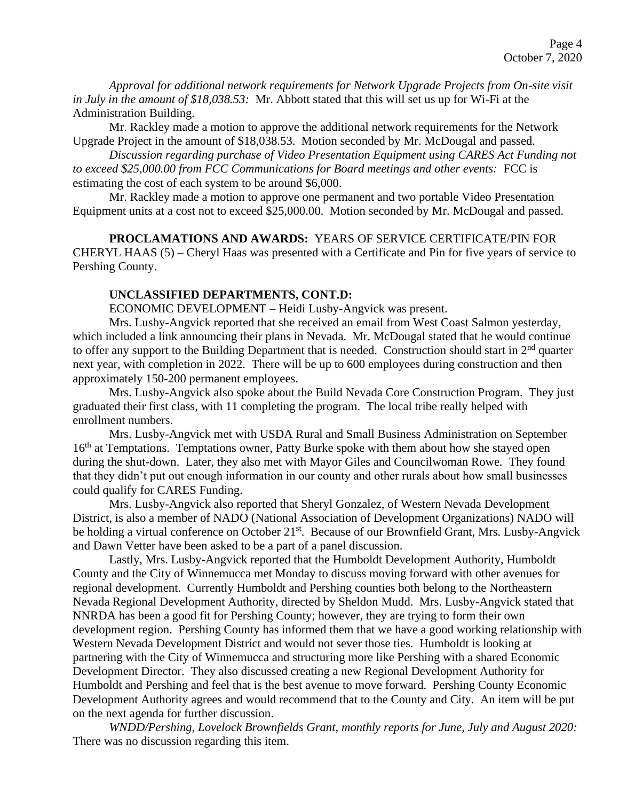*Approval for additional network requirements for Network Upgrade Projects from On-site visit in July in the amount of \$18,038.53:* Mr. Abbott stated that this will set us up for Wi-Fi at the Administration Building.

Mr. Rackley made a motion to approve the additional network requirements for the Network Upgrade Project in the amount of \$18,038.53. Motion seconded by Mr. McDougal and passed.

*Discussion regarding purchase of Video Presentation Equipment using CARES Act Funding not to exceed \$25,000.00 from FCC Communications for Board meetings and other events:* FCC is estimating the cost of each system to be around \$6,000.

Mr. Rackley made a motion to approve one permanent and two portable Video Presentation Equipment units at a cost not to exceed \$25,000.00. Motion seconded by Mr. McDougal and passed.

**PROCLAMATIONS AND AWARDS:** YEARS OF SERVICE CERTIFICATE/PIN FOR CHERYL HAAS (5) – Cheryl Haas was presented with a Certificate and Pin for five years of service to Pershing County.

## **UNCLASSIFIED DEPARTMENTS, CONT.D:**

ECONOMIC DEVELOPMENT – Heidi Lusby-Angvick was present.

Mrs. Lusby-Angvick reported that she received an email from West Coast Salmon yesterday, which included a link announcing their plans in Nevada. Mr. McDougal stated that he would continue to offer any support to the Building Department that is needed. Construction should start in  $2<sup>nd</sup>$  quarter next year, with completion in 2022. There will be up to 600 employees during construction and then approximately 150-200 permanent employees.

Mrs. Lusby-Angvick also spoke about the Build Nevada Core Construction Program. They just graduated their first class, with 11 completing the program. The local tribe really helped with enrollment numbers.

Mrs. Lusby-Angvick met with USDA Rural and Small Business Administration on September 16<sup>th</sup> at Temptations. Temptations owner, Patty Burke spoke with them about how she stayed open during the shut-down. Later, they also met with Mayor Giles and Councilwoman Rowe. They found that they didn't put out enough information in our county and other rurals about how small businesses could qualify for CARES Funding.

Mrs. Lusby-Angvick also reported that Sheryl Gonzalez, of Western Nevada Development District, is also a member of NADO (National Association of Development Organizations) NADO will be holding a virtual conference on October 21<sup>st</sup>. Because of our Brownfield Grant, Mrs. Lusby-Angvick and Dawn Vetter have been asked to be a part of a panel discussion.

Lastly, Mrs. Lusby-Angvick reported that the Humboldt Development Authority, Humboldt County and the City of Winnemucca met Monday to discuss moving forward with other avenues for regional development. Currently Humboldt and Pershing counties both belong to the Northeastern Nevada Regional Development Authority, directed by Sheldon Mudd. Mrs. Lusby-Angvick stated that NNRDA has been a good fit for Pershing County; however, they are trying to form their own development region. Pershing County has informed them that we have a good working relationship with Western Nevada Development District and would not sever those ties. Humboldt is looking at partnering with the City of Winnemucca and structuring more like Pershing with a shared Economic Development Director. They also discussed creating a new Regional Development Authority for Humboldt and Pershing and feel that is the best avenue to move forward. Pershing County Economic Development Authority agrees and would recommend that to the County and City. An item will be put on the next agenda for further discussion.

*WNDD/Pershing, Lovelock Brownfields Grant, monthly reports for June, July and August 2020:*  There was no discussion regarding this item.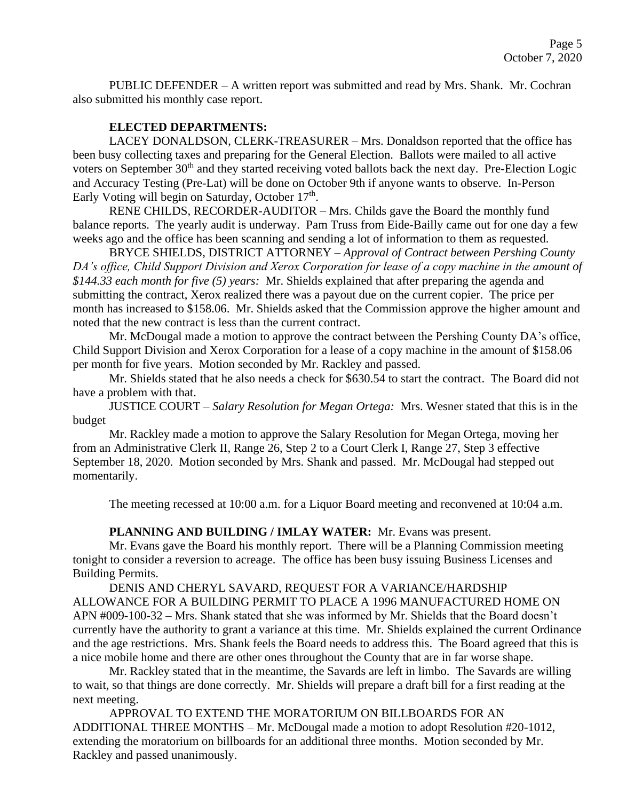PUBLIC DEFENDER – A written report was submitted and read by Mrs. Shank. Mr. Cochran also submitted his monthly case report.

## **ELECTED DEPARTMENTS:**

LACEY DONALDSON, CLERK-TREASURER – Mrs. Donaldson reported that the office has been busy collecting taxes and preparing for the General Election. Ballots were mailed to all active voters on September 30<sup>th</sup> and they started receiving voted ballots back the next day. Pre-Election Logic and Accuracy Testing (Pre-Lat) will be done on October 9th if anyone wants to observe. In-Person Early Voting will begin on Saturday, October 17<sup>th</sup>.

RENE CHILDS, RECORDER-AUDITOR – Mrs. Childs gave the Board the monthly fund balance reports. The yearly audit is underway. Pam Truss from Eide-Bailly came out for one day a few weeks ago and the office has been scanning and sending a lot of information to them as requested.

BRYCE SHIELDS, DISTRICT ATTORNEY – *Approval of Contract between Pershing County DA's office, Child Support Division and Xerox Corporation for lease of a copy machine in the amount of \$144.33 each month for five (5) years:* Mr. Shields explained that after preparing the agenda and submitting the contract, Xerox realized there was a payout due on the current copier. The price per month has increased to \$158.06. Mr. Shields asked that the Commission approve the higher amount and noted that the new contract is less than the current contract.

Mr. McDougal made a motion to approve the contract between the Pershing County DA's office, Child Support Division and Xerox Corporation for a lease of a copy machine in the amount of \$158.06 per month for five years. Motion seconded by Mr. Rackley and passed.

Mr. Shields stated that he also needs a check for \$630.54 to start the contract. The Board did not have a problem with that.

JUSTICE COURT – *Salary Resolution for Megan Ortega:* Mrs. Wesner stated that this is in the budget

Mr. Rackley made a motion to approve the Salary Resolution for Megan Ortega, moving her from an Administrative Clerk II, Range 26, Step 2 to a Court Clerk I, Range 27, Step 3 effective September 18, 2020. Motion seconded by Mrs. Shank and passed. Mr. McDougal had stepped out momentarily.

The meeting recessed at 10:00 a.m. for a Liquor Board meeting and reconvened at 10:04 a.m.

**PLANNING AND BUILDING / IMLAY WATER:** Mr. Evans was present.

Mr. Evans gave the Board his monthly report. There will be a Planning Commission meeting tonight to consider a reversion to acreage. The office has been busy issuing Business Licenses and Building Permits.

DENIS AND CHERYL SAVARD, REQUEST FOR A VARIANCE/HARDSHIP ALLOWANCE FOR A BUILDING PERMIT TO PLACE A 1996 MANUFACTURED HOME ON APN #009-100-32 – Mrs. Shank stated that she was informed by Mr. Shields that the Board doesn't currently have the authority to grant a variance at this time. Mr. Shields explained the current Ordinance and the age restrictions. Mrs. Shank feels the Board needs to address this. The Board agreed that this is a nice mobile home and there are other ones throughout the County that are in far worse shape.

Mr. Rackley stated that in the meantime, the Savards are left in limbo. The Savards are willing to wait, so that things are done correctly. Mr. Shields will prepare a draft bill for a first reading at the next meeting.

APPROVAL TO EXTEND THE MORATORIUM ON BILLBOARDS FOR AN ADDITIONAL THREE MONTHS – Mr. McDougal made a motion to adopt Resolution #20-1012, extending the moratorium on billboards for an additional three months. Motion seconded by Mr. Rackley and passed unanimously.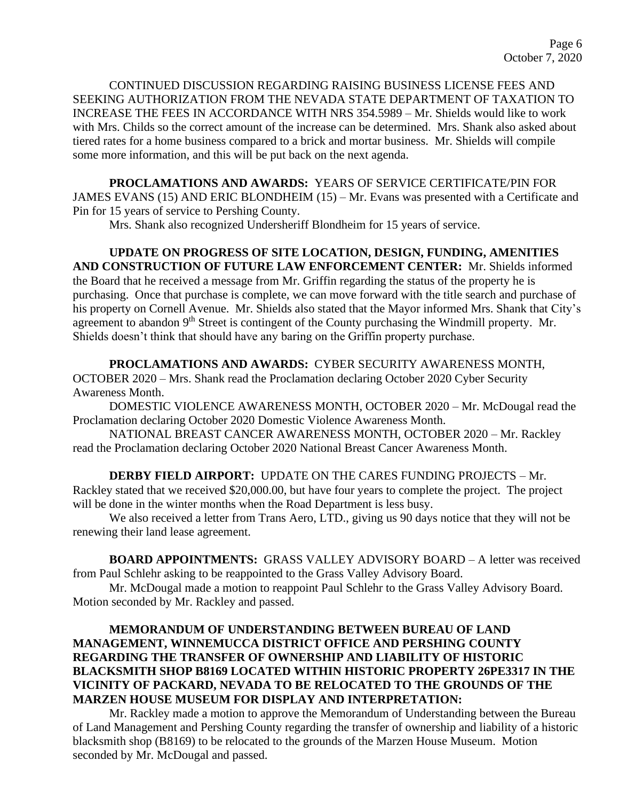CONTINUED DISCUSSION REGARDING RAISING BUSINESS LICENSE FEES AND SEEKING AUTHORIZATION FROM THE NEVADA STATE DEPARTMENT OF TAXATION TO INCREASE THE FEES IN ACCORDANCE WITH NRS 354.5989 – Mr. Shields would like to work with Mrs. Childs so the correct amount of the increase can be determined. Mrs. Shank also asked about tiered rates for a home business compared to a brick and mortar business. Mr. Shields will compile some more information, and this will be put back on the next agenda.

**PROCLAMATIONS AND AWARDS:** YEARS OF SERVICE CERTIFICATE/PIN FOR JAMES EVANS (15) AND ERIC BLONDHEIM (15) – Mr. Evans was presented with a Certificate and Pin for 15 years of service to Pershing County.

Mrs. Shank also recognized Undersheriff Blondheim for 15 years of service.

**UPDATE ON PROGRESS OF SITE LOCATION, DESIGN, FUNDING, AMENITIES AND CONSTRUCTION OF FUTURE LAW ENFORCEMENT CENTER:** Mr. Shields informed the Board that he received a message from Mr. Griffin regarding the status of the property he is purchasing. Once that purchase is complete, we can move forward with the title search and purchase of his property on Cornell Avenue. Mr. Shields also stated that the Mayor informed Mrs. Shank that City's agreement to abandon 9<sup>th</sup> Street is contingent of the County purchasing the Windmill property. Mr. Shields doesn't think that should have any baring on the Griffin property purchase.

**PROCLAMATIONS AND AWARDS:** CYBER SECURITY AWARENESS MONTH, OCTOBER 2020 – Mrs. Shank read the Proclamation declaring October 2020 Cyber Security Awareness Month.

DOMESTIC VIOLENCE AWARENESS MONTH, OCTOBER 2020 – Mr. McDougal read the Proclamation declaring October 2020 Domestic Violence Awareness Month.

NATIONAL BREAST CANCER AWARENESS MONTH, OCTOBER 2020 – Mr. Rackley read the Proclamation declaring October 2020 National Breast Cancer Awareness Month.

**DERBY FIELD AIRPORT:** UPDATE ON THE CARES FUNDING PROJECTS – Mr. Rackley stated that we received \$20,000.00, but have four years to complete the project. The project will be done in the winter months when the Road Department is less busy.

We also received a letter from Trans Aero, LTD., giving us 90 days notice that they will not be renewing their land lease agreement.

**BOARD APPOINTMENTS:** GRASS VALLEY ADVISORY BOARD – A letter was received from Paul Schlehr asking to be reappointed to the Grass Valley Advisory Board.

Mr. McDougal made a motion to reappoint Paul Schlehr to the Grass Valley Advisory Board. Motion seconded by Mr. Rackley and passed.

## **MEMORANDUM OF UNDERSTANDING BETWEEN BUREAU OF LAND MANAGEMENT, WINNEMUCCA DISTRICT OFFICE AND PERSHING COUNTY REGARDING THE TRANSFER OF OWNERSHIP AND LIABILITY OF HISTORIC BLACKSMITH SHOP B8169 LOCATED WITHIN HISTORIC PROPERTY 26PE3317 IN THE VICINITY OF PACKARD, NEVADA TO BE RELOCATED TO THE GROUNDS OF THE MARZEN HOUSE MUSEUM FOR DISPLAY AND INTERPRETATION:**

Mr. Rackley made a motion to approve the Memorandum of Understanding between the Bureau of Land Management and Pershing County regarding the transfer of ownership and liability of a historic blacksmith shop (B8169) to be relocated to the grounds of the Marzen House Museum. Motion seconded by Mr. McDougal and passed.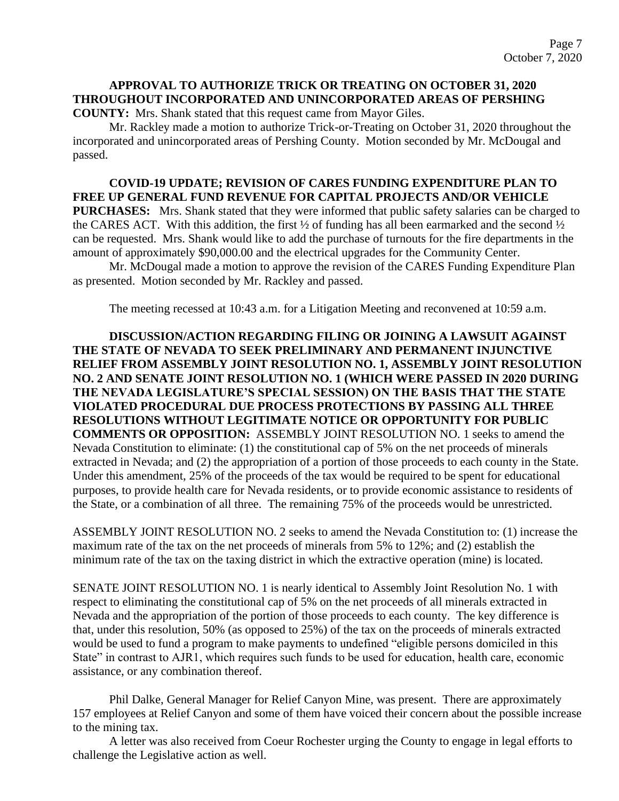## **APPROVAL TO AUTHORIZE TRICK OR TREATING ON OCTOBER 31, 2020 THROUGHOUT INCORPORATED AND UNINCORPORATED AREAS OF PERSHING COUNTY:** Mrs. Shank stated that this request came from Mayor Giles.

Mr. Rackley made a motion to authorize Trick-or-Treating on October 31, 2020 throughout the incorporated and unincorporated areas of Pershing County. Motion seconded by Mr. McDougal and passed.

**COVID-19 UPDATE; REVISION OF CARES FUNDING EXPENDITURE PLAN TO FREE UP GENERAL FUND REVENUE FOR CAPITAL PROJECTS AND/OR VEHICLE PURCHASES:** Mrs. Shank stated that they were informed that public safety salaries can be charged to the CARES ACT. With this addition, the first ½ of funding has all been earmarked and the second ½ can be requested. Mrs. Shank would like to add the purchase of turnouts for the fire departments in the amount of approximately \$90,000.00 and the electrical upgrades for the Community Center.

Mr. McDougal made a motion to approve the revision of the CARES Funding Expenditure Plan as presented. Motion seconded by Mr. Rackley and passed.

The meeting recessed at 10:43 a.m. for a Litigation Meeting and reconvened at 10:59 a.m.

**DISCUSSION/ACTION REGARDING FILING OR JOINING A LAWSUIT AGAINST THE STATE OF NEVADA TO SEEK PRELIMINARY AND PERMANENT INJUNCTIVE RELIEF FROM ASSEMBLY JOINT RESOLUTION NO. 1, ASSEMBLY JOINT RESOLUTION NO. 2 AND SENATE JOINT RESOLUTION NO. 1 (WHICH WERE PASSED IN 2020 DURING THE NEVADA LEGISLATURE'S SPECIAL SESSION) ON THE BASIS THAT THE STATE VIOLATED PROCEDURAL DUE PROCESS PROTECTIONS BY PASSING ALL THREE RESOLUTIONS WITHOUT LEGITIMATE NOTICE OR OPPORTUNITY FOR PUBLIC COMMENTS OR OPPOSITION:** ASSEMBLY JOINT RESOLUTION NO. 1 seeks to amend the Nevada Constitution to eliminate: (1) the constitutional cap of 5% on the net proceeds of minerals extracted in Nevada; and (2) the appropriation of a portion of those proceeds to each county in the State. Under this amendment, 25% of the proceeds of the tax would be required to be spent for educational purposes, to provide health care for Nevada residents, or to provide economic assistance to residents of the State, or a combination of all three. The remaining 75% of the proceeds would be unrestricted.

ASSEMBLY JOINT RESOLUTION NO. 2 seeks to amend the Nevada Constitution to: (1) increase the maximum rate of the tax on the net proceeds of minerals from 5% to 12%; and (2) establish the minimum rate of the tax on the taxing district in which the extractive operation (mine) is located.

SENATE JOINT RESOLUTION NO. 1 is nearly identical to Assembly Joint Resolution No. 1 with respect to eliminating the constitutional cap of 5% on the net proceeds of all minerals extracted in Nevada and the appropriation of the portion of those proceeds to each county. The key difference is that, under this resolution, 50% (as opposed to 25%) of the tax on the proceeds of minerals extracted would be used to fund a program to make payments to undefined "eligible persons domiciled in this State" in contrast to AJR1, which requires such funds to be used for education, health care, economic assistance, or any combination thereof.

Phil Dalke, General Manager for Relief Canyon Mine, was present. There are approximately 157 employees at Relief Canyon and some of them have voiced their concern about the possible increase to the mining tax.

A letter was also received from Coeur Rochester urging the County to engage in legal efforts to challenge the Legislative action as well.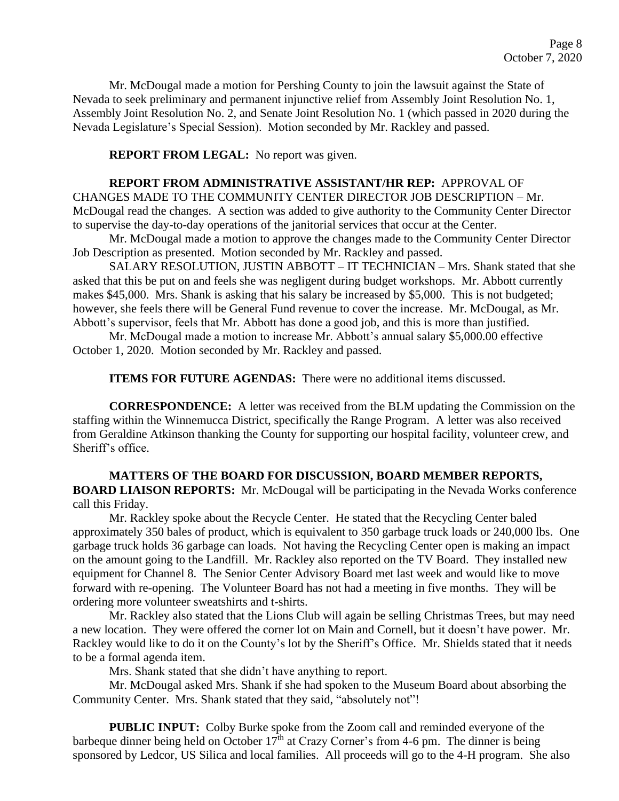Mr. McDougal made a motion for Pershing County to join the lawsuit against the State of Nevada to seek preliminary and permanent injunctive relief from Assembly Joint Resolution No. 1, Assembly Joint Resolution No. 2, and Senate Joint Resolution No. 1 (which passed in 2020 during the Nevada Legislature's Special Session). Motion seconded by Mr. Rackley and passed.

## **REPORT FROM LEGAL:** No report was given.

**REPORT FROM ADMINISTRATIVE ASSISTANT/HR REP:** APPROVAL OF CHANGES MADE TO THE COMMUNITY CENTER DIRECTOR JOB DESCRIPTION – Mr. McDougal read the changes. A section was added to give authority to the Community Center Director to supervise the day-to-day operations of the janitorial services that occur at the Center.

Mr. McDougal made a motion to approve the changes made to the Community Center Director Job Description as presented. Motion seconded by Mr. Rackley and passed.

SALARY RESOLUTION, JUSTIN ABBOTT – IT TECHNICIAN – Mrs. Shank stated that she asked that this be put on and feels she was negligent during budget workshops. Mr. Abbott currently makes \$45,000. Mrs. Shank is asking that his salary be increased by \$5,000. This is not budgeted; however, she feels there will be General Fund revenue to cover the increase. Mr. McDougal, as Mr. Abbott's supervisor, feels that Mr. Abbott has done a good job, and this is more than justified.

Mr. McDougal made a motion to increase Mr. Abbott's annual salary \$5,000.00 effective October 1, 2020. Motion seconded by Mr. Rackley and passed.

**ITEMS FOR FUTURE AGENDAS:** There were no additional items discussed.

**CORRESPONDENCE:** A letter was received from the BLM updating the Commission on the staffing within the Winnemucca District, specifically the Range Program. A letter was also received from Geraldine Atkinson thanking the County for supporting our hospital facility, volunteer crew, and Sheriff's office.

**MATTERS OF THE BOARD FOR DISCUSSION, BOARD MEMBER REPORTS, BOARD LIAISON REPORTS:** Mr. McDougal will be participating in the Nevada Works conference call this Friday.

Mr. Rackley spoke about the Recycle Center. He stated that the Recycling Center baled approximately 350 bales of product, which is equivalent to 350 garbage truck loads or 240,000 lbs. One garbage truck holds 36 garbage can loads. Not having the Recycling Center open is making an impact on the amount going to the Landfill. Mr. Rackley also reported on the TV Board. They installed new equipment for Channel 8. The Senior Center Advisory Board met last week and would like to move forward with re-opening. The Volunteer Board has not had a meeting in five months. They will be ordering more volunteer sweatshirts and t-shirts.

Mr. Rackley also stated that the Lions Club will again be selling Christmas Trees, but may need a new location. They were offered the corner lot on Main and Cornell, but it doesn't have power. Mr. Rackley would like to do it on the County's lot by the Sheriff's Office. Mr. Shields stated that it needs to be a formal agenda item.

Mrs. Shank stated that she didn't have anything to report.

Mr. McDougal asked Mrs. Shank if she had spoken to the Museum Board about absorbing the Community Center. Mrs. Shank stated that they said, "absolutely not"!

**PUBLIC INPUT:** Colby Burke spoke from the Zoom call and reminded everyone of the barbeque dinner being held on October  $17<sup>th</sup>$  at Crazy Corner's from 4-6 pm. The dinner is being sponsored by Ledcor, US Silica and local families. All proceeds will go to the 4-H program. She also